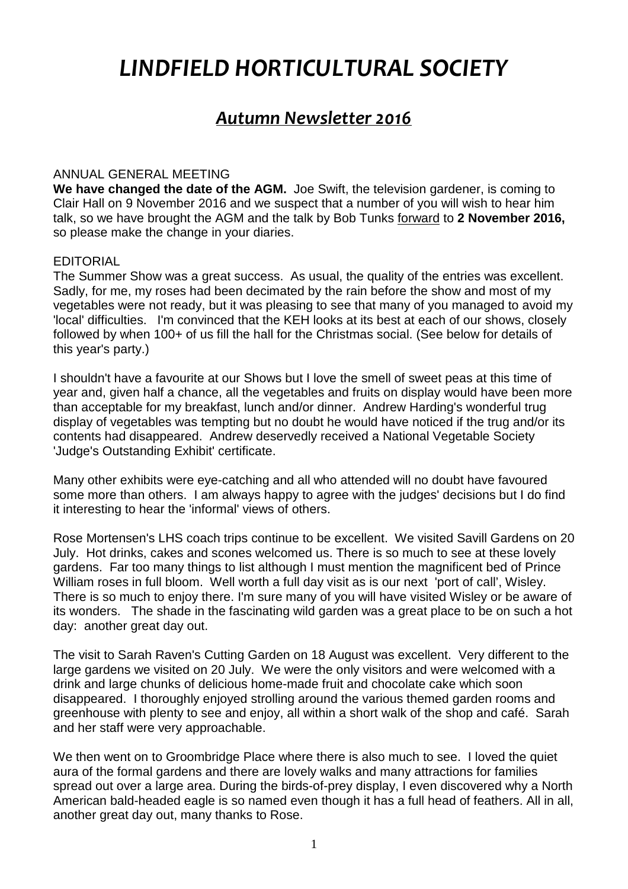# *LINDFIELD HORTICULTURAL SOCIETY*

# *Autumn Newsletter 2016*

## ANNUAL GENERAL MEETING

**We have changed the date of the AGM.** Joe Swift, the television gardener, is coming to Clair Hall on 9 November 2016 and we suspect that a number of you will wish to hear him talk, so we have brought the AGM and the talk by Bob Tunks forward to **2 November 2016,** so please make the change in your diaries.

## EDITORIAL

The Summer Show was a great success. As usual, the quality of the entries was excellent. Sadly, for me, my roses had been decimated by the rain before the show and most of my vegetables were not ready, but it was pleasing to see that many of you managed to avoid my 'local' difficulties. I'm convinced that the KEH looks at its best at each of our shows, closely followed by when 100+ of us fill the hall for the Christmas social. (See below for details of this year's party.)

I shouldn't have a favourite at our Shows but I love the smell of sweet peas at this time of year and, given half a chance, all the vegetables and fruits on display would have been more than acceptable for my breakfast, lunch and/or dinner. Andrew Harding's wonderful trug display of vegetables was tempting but no doubt he would have noticed if the trug and/or its contents had disappeared. Andrew deservedly received a National Vegetable Society 'Judge's Outstanding Exhibit' certificate.

Many other exhibits were eye-catching and all who attended will no doubt have favoured some more than others. I am always happy to agree with the judges' decisions but I do find it interesting to hear the 'informal' views of others.

Rose Mortensen's LHS coach trips continue to be excellent. We visited Savill Gardens on 20 July. Hot drinks, cakes and scones welcomed us. There is so much to see at these lovely gardens. Far too many things to list although I must mention the magnificent bed of Prince William roses in full bloom. Well worth a full day visit as is our next 'port of call', Wisley. There is so much to enjoy there. I'm sure many of you will have visited Wisley or be aware of its wonders. The shade in the fascinating wild garden was a great place to be on such a hot day: another great day out.

The visit to Sarah Raven's Cutting Garden on 18 August was excellent. Very different to the large gardens we visited on 20 July. We were the only visitors and were welcomed with a drink and large chunks of delicious home-made fruit and chocolate cake which soon disappeared. I thoroughly enjoyed strolling around the various themed garden rooms and greenhouse with plenty to see and enjoy, all within a short walk of the shop and café. Sarah and her staff were very approachable.

We then went on to Groombridge Place where there is also much to see. I loved the quiet aura of the formal gardens and there are lovely walks and many attractions for families spread out over a large area. During the birds-of-prey display, I even discovered why a North American bald-headed eagle is so named even though it has a full head of feathers. All in all, another great day out, many thanks to Rose.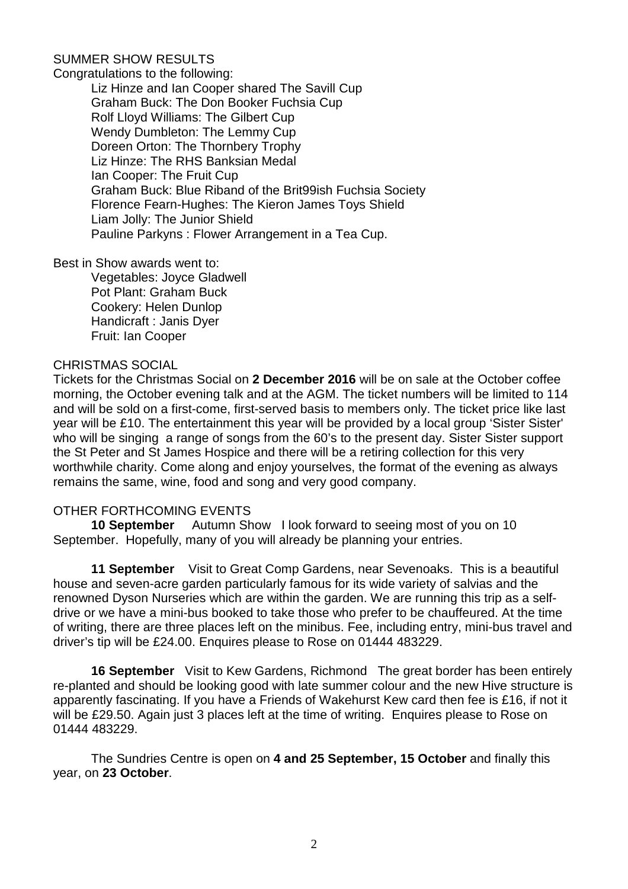# SUMMER SHOW RESULTS

Congratulations to the following:

Liz Hinze and Ian Cooper shared The Savill Cup Graham Buck: The Don Booker Fuchsia Cup Rolf Lloyd Williams: The Gilbert Cup Wendy Dumbleton: The Lemmy Cup Doreen Orton: The Thornbery Trophy Liz Hinze: The RHS Banksian Medal Ian Cooper: The Fruit Cup Graham Buck: Blue Riband of the Brit99ish Fuchsia Society Florence Fearn-Hughes: The Kieron James Toys Shield Liam Jolly: The Junior Shield Pauline Parkyns : Flower Arrangement in a Tea Cup.

Best in Show awards went to:

Vegetables: Joyce Gladwell Pot Plant: Graham Buck Cookery: Helen Dunlop Handicraft : Janis Dyer Fruit: Ian Cooper

# CHRISTMAS SOCIAL

Tickets for the Christmas Social on **2 December 2016** will be on sale at the October coffee morning, the October evening talk and at the AGM. The ticket numbers will be limited to 114 and will be sold on a first-come, first-served basis to members only. The ticket price like last year will be £10. The entertainment this year will be provided by a local group 'Sister Sister' who will be singing a range of songs from the 60's to the present day. Sister Sister support the St Peter and St James Hospice and there will be a retiring collection for this very worthwhile charity. Come along and enjoy yourselves, the format of the evening as always remains the same, wine, food and song and very good company.

## OTHER FORTHCOMING EVENTS

**10 September** Autumn Show I look forward to seeing most of you on 10 September. Hopefully, many of you will already be planning your entries.

 **11 September** Visit to Great Comp Gardens, near Sevenoaks. This is a beautiful house and seven-acre garden particularly famous for its wide variety of salvias and the renowned Dyson Nurseries which are within the garden. We are running this trip as a selfdrive or we have a mini-bus booked to take those who prefer to be chauffeured. At the time of writing, there are three places left on the minibus. Fee, including entry, mini-bus travel and driver's tip will be £24.00. Enquires please to Rose on 01444 483229.

 **16 September** Visit to Kew Gardens, Richmond The great border has been entirely re-planted and should be looking good with late summer colour and the new Hive structure is apparently fascinating. If you have a Friends of Wakehurst Kew card then fee is £16, if not it will be £29.50. Again just 3 places left at the time of writing. Enguires please to Rose on 01444 483229.

 The Sundries Centre is open on **4 and 25 September, 15 October** and finally this year, on **23 October**.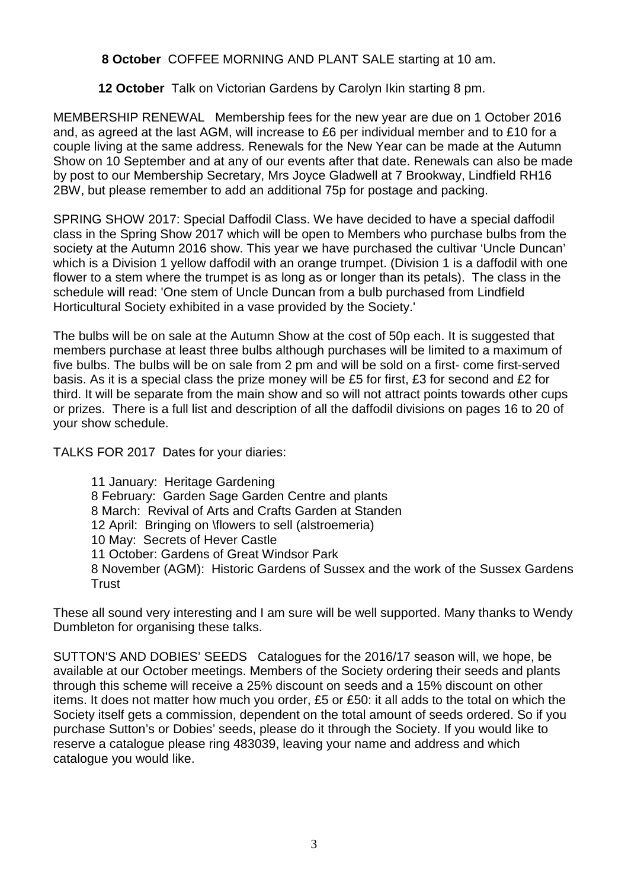**8 October** COFFEE MORNING AND PLANT SALE starting at 10 am.

**12 October** Talk on Victorian Gardens by Carolyn Ikin starting 8 pm.

MEMBERSHIP RENEWAL Membership fees for the new year are due on 1 October 2016 and, as agreed at the last AGM, will increase to £6 per individual member and to £10 for a couple living at the same address. Renewals for the New Year can be made at the Autumn Show on 10 September and at any of our events after that date. Renewals can also be made by post to our Membership Secretary, Mrs Joyce Gladwell at 7 Brookway, Lindfield RH16 2BW, but please remember to add an additional 75p for postage and packing.

SPRING SHOW 2017: Special Daffodil Class. We have decided to have a special daffodil class in the Spring Show 2017 which will be open to Members who purchase bulbs from the society at the Autumn 2016 show. This year we have purchased the cultivar 'Uncle Duncan' which is a Division 1 yellow daffodil with an orange trumpet. (Division 1 is a daffodil with one flower to a stem where the trumpet is as long as or longer than its petals). The class in the schedule will read: 'One stem of Uncle Duncan from a bulb purchased from Lindfield Horticultural Society exhibited in a vase provided by the Society.'

The bulbs will be on sale at the Autumn Show at the cost of 50p each. It is suggested that members purchase at least three bulbs although purchases will be limited to a maximum of five bulbs. The bulbs will be on sale from 2 pm and will be sold on a first- come first-served basis. As it is a special class the prize money will be £5 for first, £3 for second and £2 for third. It will be separate from the main show and so will not attract points towards other cups or prizes. There is a full list and description of all the daffodil divisions on pages 16 to 20 of your show schedule.

TALKS FOR 2017 Dates for your diaries:

11 January: Heritage Gardening 8 February: Garden Sage Garden Centre and plants 8 March: Revival of Arts and Crafts Garden at Standen 12 April: Bringing on \flowers to sell (alstroemeria) 10 May: Secrets of Hever Castle 11 October: Gardens of Great Windsor Park 8 November (AGM): Historic Gardens of Sussex and the work of the Sussex Gardens **Trust** 

These all sound very interesting and I am sure will be well supported. Many thanks to Wendy Dumbleton for organising these talks.

SUTTON'S AND DOBIES' SEEDS Catalogues for the 2016/17 season will, we hope, be available at our October meetings. Members of the Society ordering their seeds and plants through this scheme will receive a 25% discount on seeds and a 15% discount on other items. It does not matter how much you order, £5 or £50: it all adds to the total on which the Society itself gets a commission, dependent on the total amount of seeds ordered. So if you purchase Sutton's or Dobies' seeds, please do it through the Society. If you would like to reserve a catalogue please ring 483039, leaving your name and address and which catalogue you would like.